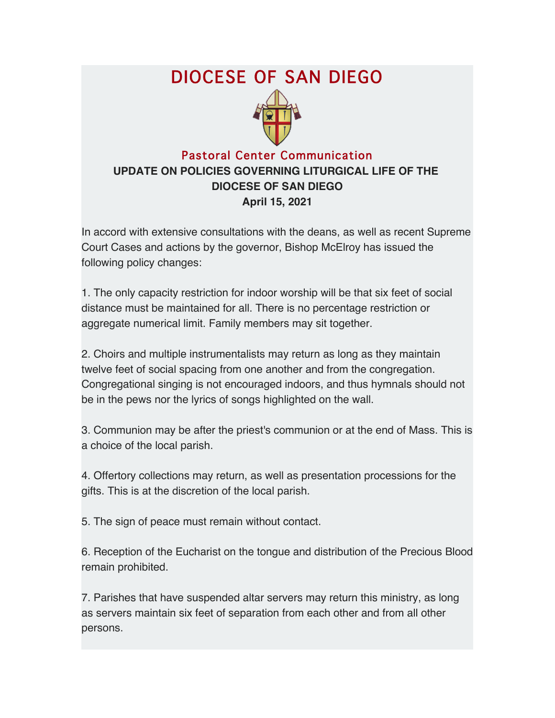## DIOCESE OF SAN DIEGO



## Pastoral Center Communication **UPDATE ON POLICIES GOVERNING LITURGICAL LIFE OF THE DIOCESE OF SAN DIEGO April 15, 2021**

In accord with extensive consultations with the deans, as well as recent Supreme Court Cases and actions by the governor, Bishop McElroy has issued the following policy changes:

1. The only capacity restriction for indoor worship will be that six feet of social distance must be maintained for all. There is no percentage restriction or aggregate numerical limit. Family members may sit together.

2. Choirs and multiple instrumentalists may return as long as they maintain twelve feet of social spacing from one another and from the congregation. Congregational singing is not encouraged indoors, and thus hymnals should not be in the pews nor the lyrics of songs highlighted on the wall.

3. Communion may be after the priest's communion or at the end of Mass. This is a choice of the local parish.

4. Offertory collections may return, as well as presentation processions for the gifts. This is at the discretion of the local parish.

5. The sign of peace must remain without contact.

6. Reception of the Eucharist on the tongue and distribution of the Precious Blood remain prohibited.

7. Parishes that have suspended altar servers may return this ministry, as long as servers maintain six feet of separation from each other and from all other persons.